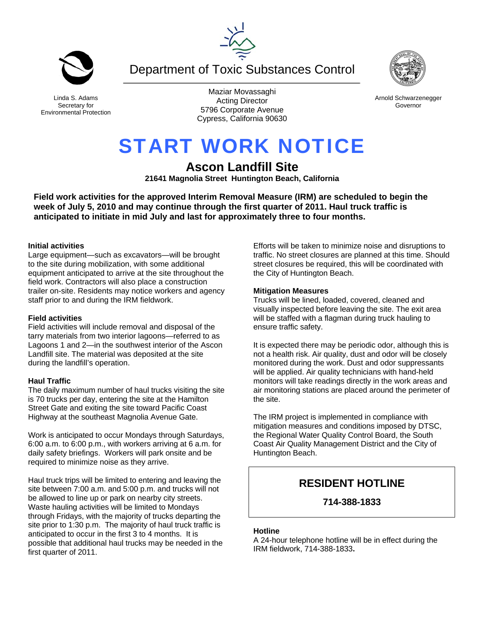Department of Toxic Substances Control

Arnold Schwarzenegger Governor

# START WORK NOTICE

# **Ascon Landfill Site**

**21641 Magnolia Street Huntington Beach, California** 

**Field work activities for the approved Interim Removal Measure (IRM) are scheduled to begin the week of July 5, 2010 and may continue through the first quarter of 2011. Haul truck traffic is anticipated to initiate in mid July and last for approximately three to four months.** 

# **Initial activities**

Large equipment—such as excavators—will be brought to the site during mobilization, with some additional equipment anticipated to arrive at the site throughout the field work. Contractors will also place a construction trailer on-site. Residents may notice workers and agency staff prior to and during the IRM fieldwork.

# **Field activities**

Field activities will include removal and disposal of the tarry materials from two interior lagoons—referred to as Lagoons 1 and 2—in the southwest interior of the Ascon Landfill site. The material was deposited at the site during the landfill's operation.

# **Haul Traffic**

The daily maximum number of haul trucks visiting the site is 70 trucks per day, entering the site at the Hamilton Street Gate and exiting the site toward Pacific Coast Highway at the southeast Magnolia Avenue Gate.

Work is anticipated to occur Mondays through Saturdays, 6:00 a.m. to 6:00 p.m., with workers arriving at 6 a.m. for daily safety briefings. Workers will park onsite and be required to minimize noise as they arrive.

Haul truck trips will be limited to entering and leaving the site between 7:00 a.m. and 5:00 p.m. and trucks will not be allowed to line up or park on nearby city streets. Waste hauling activities will be limited to Mondays through Fridays, with the majority of trucks departing the site prior to 1:30 p.m. The majority of haul truck traffic is anticipated to occur in the first 3 to 4 months. It is possible that additional haul trucks may be needed in the first quarter of 2011.

Efforts will be taken to minimize noise and disruptions to traffic. No street closures are planned at this time. Should street closures be required, this will be coordinated with the City of Huntington Beach.

# **Mitigation Measures**

Trucks will be lined, loaded, covered, cleaned and visually inspected before leaving the site. The exit area will be staffed with a flagman during truck hauling to ensure traffic safety.

It is expected there may be periodic odor, although this is not a health risk. Air quality, dust and odor will be closely monitored during the work. Dust and odor suppressants will be applied. Air quality technicians with hand-held monitors will take readings directly in the work areas and air monitoring stations are placed around the perimeter of the site.

The IRM project is implemented in compliance with mitigation measures and conditions imposed by DTSC, the Regional Water Quality Control Board, the South Coast Air Quality Management District and the City of Huntington Beach.

# **RESIDENT HOTLINE**

# **714-388-1833**

# **Hotline**

A 24-hour telephone hotline will be in effect during the IRM fieldwork, 714-388-1833**.**



Linda S. Adams Secretary for Environmental Protection